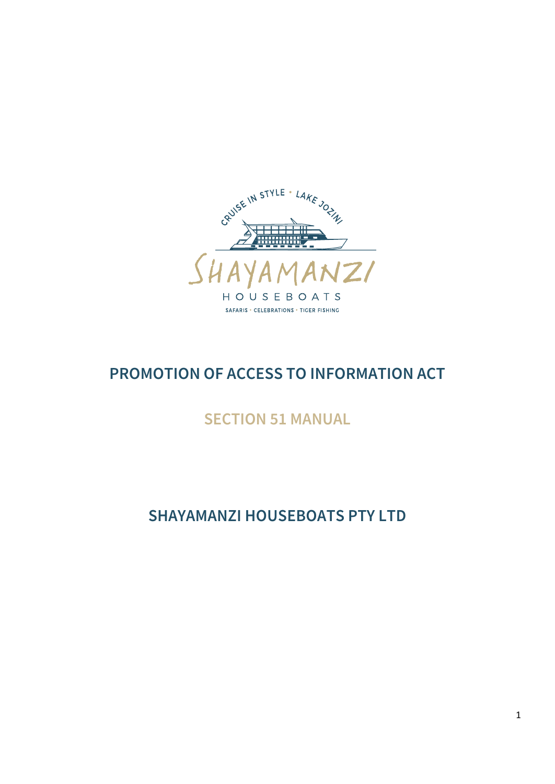

# **PROMOTION OF ACCESS TO INFORMATION ACT**

# **SECTION 51 MANUAL**

# **SHAYAMANZI HOUSEBOATS PTY LTD**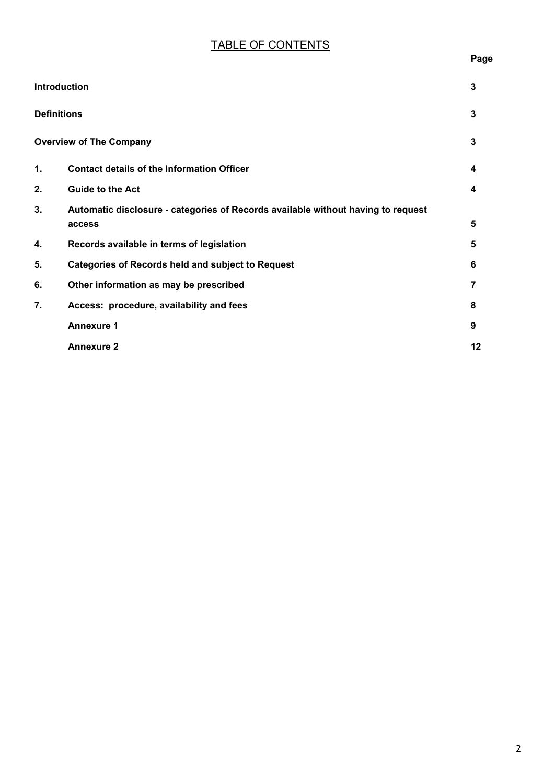# TABLE OF CONTENTS

| ×<br>×<br>. .<br>۰. |
|---------------------|
|---------------------|

| <b>Introduction</b> |                                                                                  | 3  |
|---------------------|----------------------------------------------------------------------------------|----|
| <b>Definitions</b>  |                                                                                  | 3  |
|                     | <b>Overview of The Company</b>                                                   | 3  |
| $\mathbf 1$ .       | <b>Contact details of the Information Officer</b>                                | 4  |
| 2.                  | <b>Guide to the Act</b>                                                          | 4  |
| 3.                  | Automatic disclosure - categories of Records available without having to request |    |
|                     | access                                                                           | 5  |
| 4.                  | Records available in terms of legislation                                        | 5  |
| 5.                  | <b>Categories of Records held and subject to Request</b>                         | 6  |
| 6.                  | Other information as may be prescribed                                           | 7  |
| 7.                  | Access: procedure, availability and fees                                         | 8  |
|                     | <b>Annexure 1</b>                                                                | 9  |
|                     | <b>Annexure 2</b>                                                                | 12 |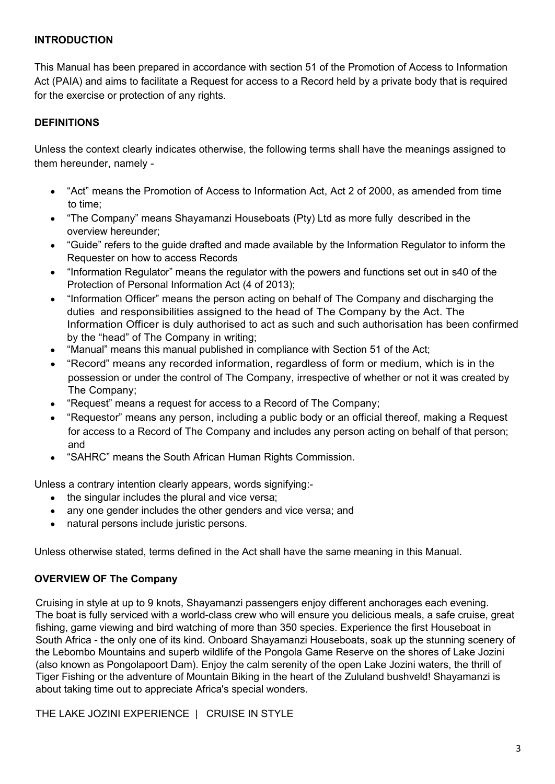#### **INTRODUCTION**

This Manual has been prepared in accordance with section 51 of the Promotion of Access to Information Act (PAIA) and aims to facilitate a Request for access to a Record held by a private body that is required for the exercise or protection of any rights.

#### **DEFINITIONS**

Unless the context clearly indicates otherwise, the following terms shall have the meanings assigned to them hereunder, namely -

- "Act" means the Promotion of Access to Information Act, Act 2 of 2000, as amended from time to time;
- "The Company" means Shayamanzi Houseboats (Pty) Ltd as more fully described in the overview hereunder;
- "Guide" refers to the guide drafted and made available by the Information Regulator to inform the Requester on how to access Records
- "Information Regulator" means the regulator with the powers and functions set out in s40 of the Protection of Personal Information Act (4 of 2013);
- "Information Officer" means the person acting on behalf of The Company and discharging the duties and responsibilities assigned to the head of The Company by the Act. The Information Officer is duly authorised to act as such and such authorisation has been confirmed by the "head" of The Company in writing;
- "Manual" means this manual published in compliance with Section 51 of the Act;
- "Record" means any recorded information, regardless of form or medium, which is in the possession or under the control of The Company, irrespective of whether or not it was created by The Company;
- "Request" means a request for access to a Record of The Company;  $\bullet$
- "Requestor" means any person, including a public body or an official thereof, making a Request for access to a Record of The Company and includes any person acting on behalf of that person; and
- "SAHRC" means the South African Human Rights Commission.

Unless a contrary intention clearly appears, words signifying:-

- the singular includes the plural and vice versa;
- any one gender includes the other genders and vice versa; and
- natural persons include juristic persons.  $\bullet$

Unless otherwise stated, terms defined in the Act shall have the same meaning in this Manual.

#### **OVERVIEW OF The Company**

Cruising in style at up to 9 knots, Shayamanzi passengers enjoy different anchorages each evening. The boat is fully serviced with a world-class crew who will ensure you delicious meals, a safe cruise, great fishing, game viewing and bird watching of more than 350 species. Experience the first Houseboat in South Africa - the only one of its kind. Onboard Shayamanzi Houseboats, soak up the stunning scenery of the Lebombo Mountains and superb wildlife of the Pongola Game Reserve on the shores of Lake Jozini (also known as Pongolapoort Dam). Enjoy the calm serenity of the open Lake Jozini waters, the thrill of Tiger Fishing or the adventure of Mountain Biking in the heart of the Zululand bushveld! Shayamanzi is about taking time out to appreciate Africa's special wonders.

THE LAKE JOZINI EXPERIENCE | CRUISE IN STYLE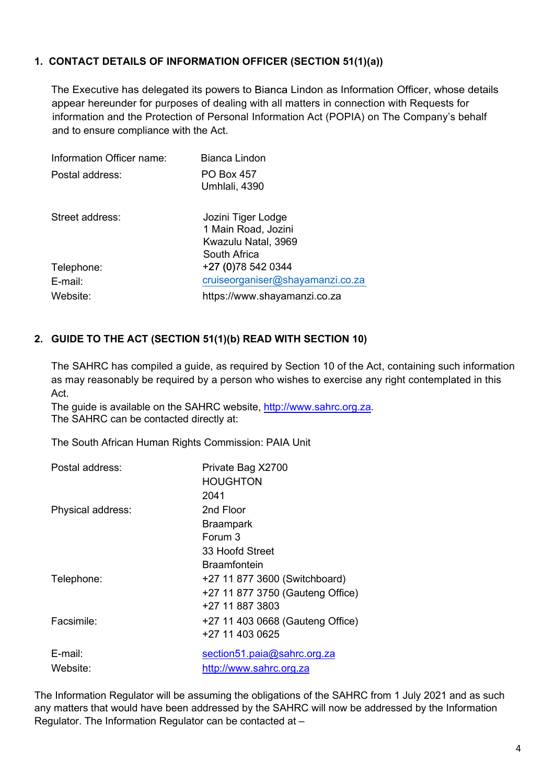# **1. CONTACT DETAILS OF INFORMATION OFFICER (SECTION 51(1)(a))**

The Executive has delegated its powers to Bianca Lindon as Information Officer, whose details appear hereunder for purposes of dealing with all matters in connection with Requests for information and the Protection of Personal Information Act (POPIA) on The Company's behalf and to ensure compliance with the Act.

| Information Officer name: | Bianca Lindon                                                                    |
|---------------------------|----------------------------------------------------------------------------------|
| Postal address:           | <b>PO Box 457</b><br>Umhlali, 4390                                               |
| Street address:           | Jozini Tiger Lodge<br>1 Main Road, Jozini<br>Kwazulu Natal, 3969<br>South Africa |
| Telephone:                | +27 (0) 78 542 0344                                                              |
| $E$ -mail:                | cruiseorganiser@shayamanzi.co.za                                                 |
| Website:                  | https://www.shayamanzi.co.za                                                     |

# **2. GUIDE TO THE ACT (SECTION 51(1)(b) READ WITH SECTION 10)**

The SAHRC has compiled a guide, as required by Section 10 of the Act, containing such information as may reasonably be required by a person who wishes to exercise any right contemplated in this Act.

The guide is available on the SAHRC website, http://www.sahrc.org.za. The SAHRC can be contacted directly at:

The South African Human Rights Commission: PAIA Unit

| Postal address:   | Private Bag X2700                |
|-------------------|----------------------------------|
|                   | <b>HOUGHTON</b>                  |
|                   | 2041                             |
| Physical address: | 2nd Floor                        |
|                   | <b>Braampark</b>                 |
|                   | Forum 3                          |
|                   | 33 Hoofd Street                  |
|                   | <b>Braamfontein</b>              |
| Telephone:        | +27 11 877 3600 (Switchboard)    |
|                   | +27 11 877 3750 (Gauteng Office) |
|                   | +27 11 887 3803                  |
| Facsimile:        | +27 11 403 0668 (Gauteng Office) |
|                   | +27 11 403 0625                  |
| $E$ -mail:        | section51.paia@sahrc.org.za      |
| Website:          | http://www.sahrc.org.za          |
|                   |                                  |

The Information Regulator will be assuming the obligations of the SAHRC from 1 July 2021 and as such any matters that would have been addressed by the SAHRC will now be addressed by the Information Regulator. The Information Regulator can be contacted at –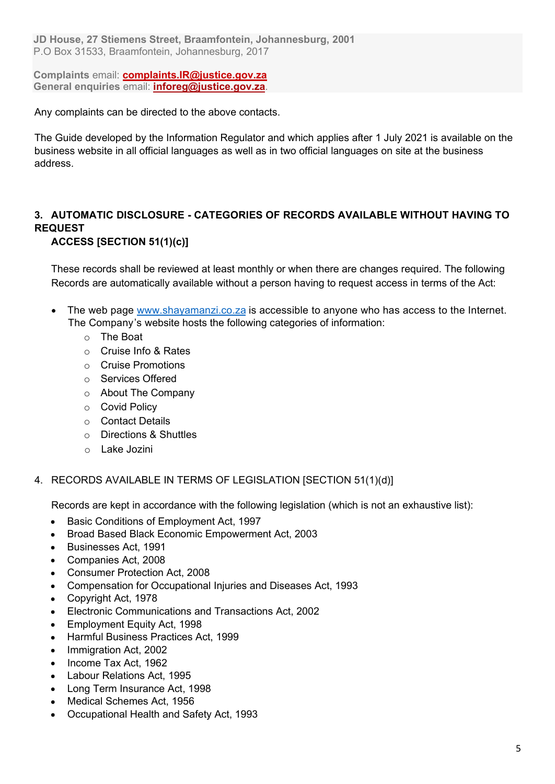**JD House, 27 Stiemens Street, Braamfontein, Johannesburg, 2001** P.O Box 31533, Braamfontein, Johannesburg, 2017

**Complaints** email: **complaints.IR@justice.gov.za General enquiries** email: **inforeg@justice.gov.za**.

Any complaints can be directed to the above contacts.

The Guide developed by the Information Regulator and which applies after 1 July 2021 is available on the business website in all official languages as well as in two official languages on site at the business address.

# **3. AUTOMATIC DISCLOSURE - CATEGORIES OF RECORDS AVAILABLE WITHOUT HAVING TO REQUEST**

# **ACCESS [SECTION 51(1)(c)]**

These records shall be reviewed at least monthly or when there are changes required. The following Records are automatically available without a person having to request access in terms of the Act:

- The web page www.shayamanzi.co.za is accessible to anyone who has access to the Internet. The Company's website hosts the following categories of information:
	- o The Boat
	- o Cruise Info & Rates
	- o Cruise Promotions
	- o Services Offered
	- o About The Company
	- o Covid Policy
	- o Contact Details
	- o Directions & Shuttles
	- o Lake Jozini

#### 4. RECORDS AVAILABLE IN TERMS OF LEGISLATION [SECTION 51(1)(d)]

Records are kept in accordance with the following legislation (which is not an exhaustive list):

- Basic Conditions of Employment Act, 1997  $\bullet$
- Broad Based Black Economic Empowerment Act, 2003  $\bullet$
- Businesses Act, 1991
- Companies Act, 2008
- Consumer Protection Act, 2008
- Compensation for Occupational Injuries and Diseases Act, 1993
- Copyright Act, 1978  $\bullet$
- Electronic Communications and Transactions Act, 2002
- Employment Equity Act, 1998
- Harmful Business Practices Act, 1999
- Immigration Act, 2002
- Income Tax Act, 1962
- Labour Relations Act, 1995  $\bullet$
- Long Term Insurance Act, 1998
- Medical Schemes Act, 1956
- Occupational Health and Safety Act, 1993  $\bullet$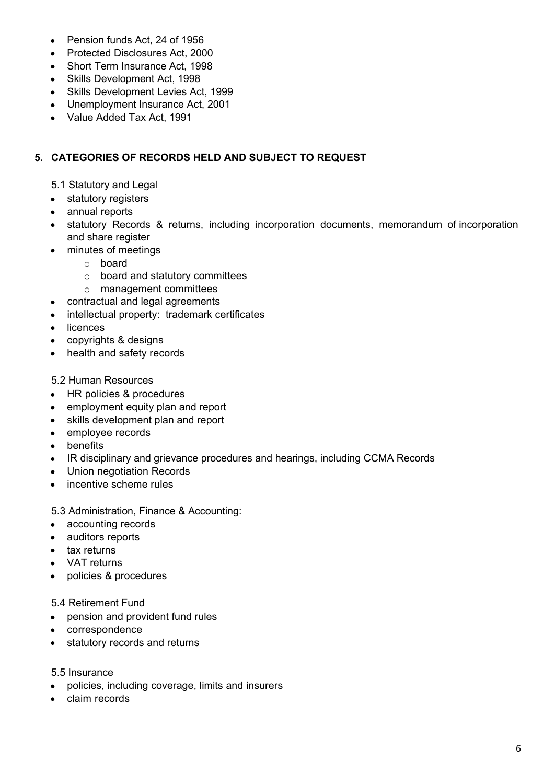- Pension funds Act, 24 of 1956
- Protected Disclosures Act, 2000
- Short Term Insurance Act, 1998
- Skills Development Act, 1998
- Skills Development Levies Act, 1999
- Unemployment Insurance Act, 2001
- Value Added Tax Act, 1991

### **5. CATEGORIES OF RECORDS HELD AND SUBJECT TO REQUEST**

- 5.1 Statutory and Legal
- statutory registers
- annual reports
- statutory Records & returns, including incorporation documents, memorandum of incorporation and share register
- minutes of meetings
	- o board
	- o board and statutory committees
	- o management committees
- contractual and legal agreements
- intellectual property: trademark certificates
- licences
- copyrights & designs
- health and safety records

#### 5.2 Human Resources

- HR policies & procedures  $\bullet$
- employment equity plan and report
- skills development plan and report
- employee records
- benefits
- IR disciplinary and grievance procedures and hearings, including CCMA Records
- Union negotiation Records  $\bullet$
- incentive scheme rules  $\bullet$

5.3 Administration, Finance & Accounting:

- accounting records
- auditors reports
- tax returns
- VAT returns
- policies & procedures

#### 5.4 Retirement Fund

- pension and provident fund rules
- correspondence
- statutory records and returns
- 5.5 Insurance
- policies, including coverage, limits and insurers
- claim records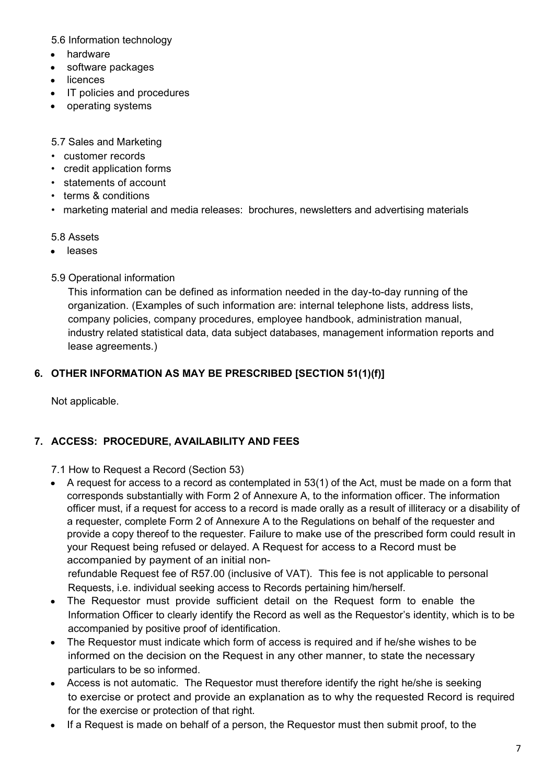5.6 Information technology

- hardware  $\bullet$
- software packages  $\bullet$
- licences
- IT policies and procedures
- operating systems

5.7 Sales and Marketing

- customer records
- credit application forms
- statements of account
- terms & conditions
- marketing material and media releases: brochures, newsletters and advertising materials

#### 5.8 Assets

• leases

5.9 Operational information

This information can be defined as information needed in the day-to-day running of the organization. (Examples of such information are: internal telephone lists, address lists, company policies, company procedures, employee handbook, administration manual, industry related statistical data, data subject databases, management information reports and lease agreements.)

# **6. OTHER INFORMATION AS MAY BE PRESCRIBED [SECTION 51(1)(f)]**

Not applicable.

#### **7. ACCESS: PROCEDURE, AVAILABILITY AND FEES**

7.1 How to Request a Record (Section 53)

A request for access to a record as contemplated in 53(1) of the Act, must be made on a form that corresponds substantially with Form 2 of Annexure A, to the information officer. The information officer must, if a request for access to a record is made orally as a result of illiteracy or a disability of a requester, complete Form 2 of Annexure A to the Regulations on behalf of the requester and provide a copy thereof to the requester. Failure to make use of the prescribed form could result in your Request being refused or delayed. A Request for access to a Record must be accompanied by payment of an initial non-

refundable Request fee of R57.00 (inclusive of VAT). This fee is not applicable to personal Requests, i.e. individual seeking access to Records pertaining him/herself.

- The Requestor must provide sufficient detail on the Request form to enable the Information Officer to clearly identify the Record as well as the Requestor's identity, which is to be accompanied by positive proof of identification.
- The Requestor must indicate which form of access is required and if he/she wishes to be informed on the decision on the Request in any other manner, to state the necessary particulars to be so informed.
- Access is not automatic. The Requestor must therefore identify the right he/she is seeking to exercise or protect and provide an explanation as to why the requested Record is required for the exercise or protection of that right.
- If a Request is made on behalf of a person, the Requestor must then submit proof, to the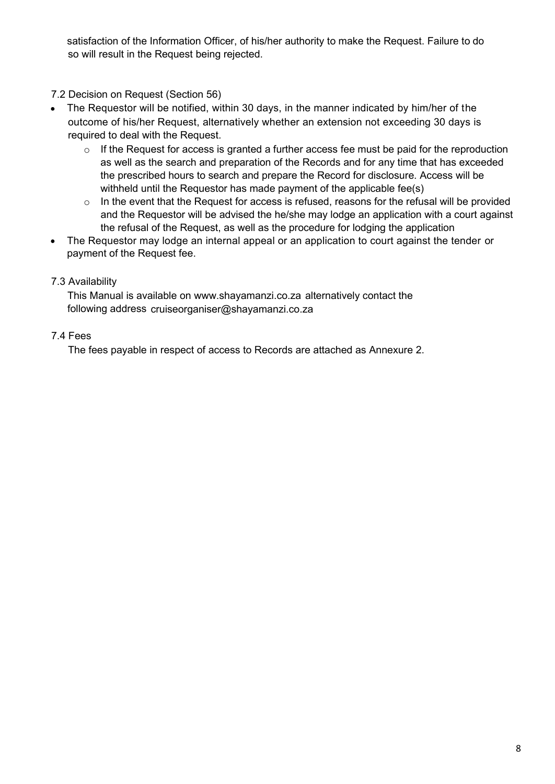satisfaction of the Information Officer, of his/her authority to make the Request. Failure to do so will result in the Request being rejected.

7.2 Decision on Request (Section 56)

- The Requestor will be notified, within 30 days, in the manner indicated by him/her of the outcome of his/her Request, alternatively whether an extension not exceeding 30 days is required to deal with the Request.
	- $\circ$  If the Request for access is granted a further access fee must be paid for the reproduction as well as the search and preparation of the Records and for any time that has exceeded the prescribed hours to search and prepare the Record for disclosure. Access will be withheld until the Requestor has made payment of the applicable fee(s)
	- o In the event that the Request for access is refused, reasons for the refusal will be provided and the Requestor will be advised the he/she may lodge an application with a court against the refusal of the Request, as well as the procedure for lodging the application
- The Requestor may lodge an internal appeal or an application to court against the tender or payment of the Request fee.

# 7.3 Availability

This Manual is available on www.shayamanzi.co.za alternatively contact the following address cruiseorganiser@shayamanzi.co.za

# 7.4 Fees

The fees payable in respect of access to Records are attached as Annexure 2.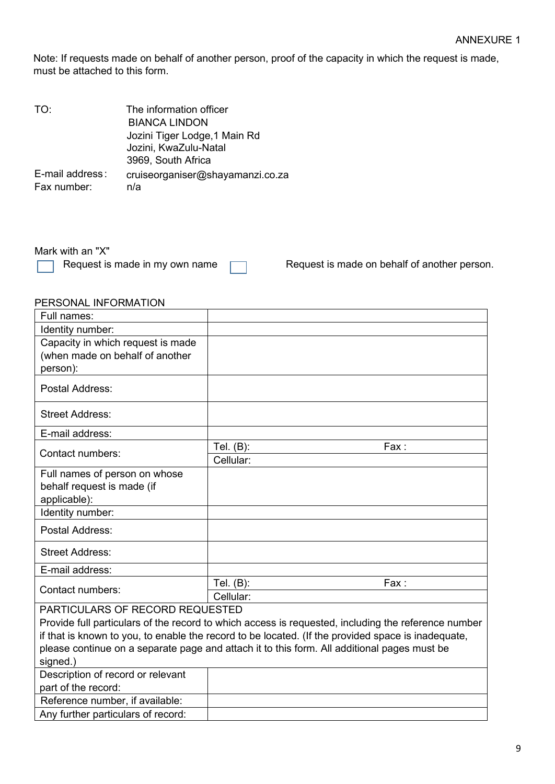Note: If requests made on behalf of another person, proof of the capacity in which the request is made, must be attached to this form.

| The information officer                 |
|-----------------------------------------|
| <b>BIANCA LINDON</b>                    |
| Jozini Tiger Lodge, 1 Main Rd           |
| Jozini, KwaZulu-Natal                   |
| 3969, South Africa                      |
| cruiseorganiser@shayamanzi.co.za<br>n/a |
|                                         |

Mark with an "X"<br>
Request is made in my own name

Request is made on behalf of another person.

# PERSONAL INFORMATION

| Full names:                                                                                        |                                                                                                     |  |
|----------------------------------------------------------------------------------------------------|-----------------------------------------------------------------------------------------------------|--|
| Identity number:                                                                                   |                                                                                                     |  |
| Capacity in which request is made                                                                  |                                                                                                     |  |
| (when made on behalf of another                                                                    |                                                                                                     |  |
| person):                                                                                           |                                                                                                     |  |
| Postal Address:                                                                                    |                                                                                                     |  |
| <b>Street Address:</b>                                                                             |                                                                                                     |  |
| E-mail address:                                                                                    |                                                                                                     |  |
| Contact numbers:                                                                                   | Tel. $(B)$ :<br>Fax:                                                                                |  |
|                                                                                                    | Cellular:                                                                                           |  |
| Full names of person on whose                                                                      |                                                                                                     |  |
| behalf request is made (if                                                                         |                                                                                                     |  |
| applicable):                                                                                       |                                                                                                     |  |
| Identity number:                                                                                   |                                                                                                     |  |
| Postal Address:                                                                                    |                                                                                                     |  |
| <b>Street Address:</b>                                                                             |                                                                                                     |  |
| E-mail address:                                                                                    |                                                                                                     |  |
| Contact numbers:                                                                                   | Tel. (B):<br>Fax:                                                                                   |  |
|                                                                                                    | Cellular:                                                                                           |  |
| PARTICULARS OF RECORD REQUESTED                                                                    |                                                                                                     |  |
|                                                                                                    | Provide full particulars of the record to which access is requested, including the reference number |  |
| if that is known to you, to enable the record to be located. (If the provided space is inadequate, |                                                                                                     |  |
| please continue on a separate page and attach it to this form. All additional pages must be        |                                                                                                     |  |
| signed.)                                                                                           |                                                                                                     |  |
| Description of record or relevant                                                                  |                                                                                                     |  |
| part of the record:                                                                                |                                                                                                     |  |
| Reference number, if available:                                                                    |                                                                                                     |  |
| Any further particulars of record:                                                                 |                                                                                                     |  |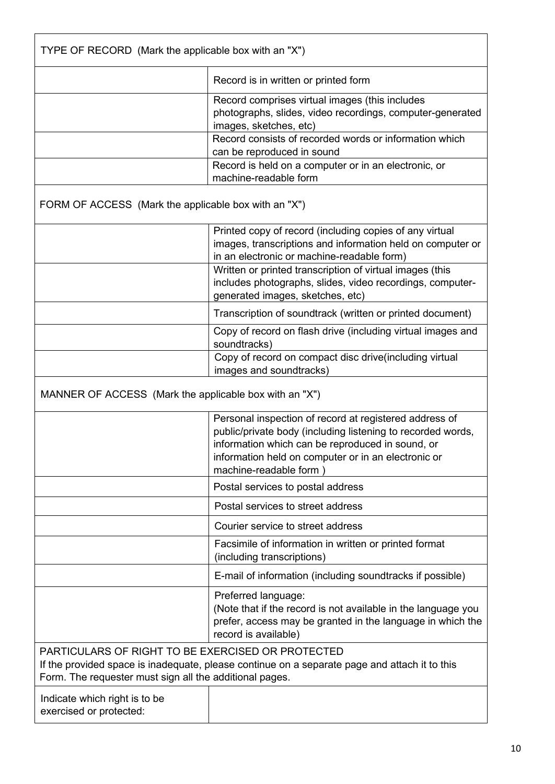| TYPE OF RECORD (Mark the applicable box with an "X")                                                                                                                                                          |                                                                                                                                                                                                                                                                                                                                  |  |  |
|---------------------------------------------------------------------------------------------------------------------------------------------------------------------------------------------------------------|----------------------------------------------------------------------------------------------------------------------------------------------------------------------------------------------------------------------------------------------------------------------------------------------------------------------------------|--|--|
|                                                                                                                                                                                                               | Record is in written or printed form                                                                                                                                                                                                                                                                                             |  |  |
|                                                                                                                                                                                                               | Record comprises virtual images (this includes<br>photographs, slides, video recordings, computer-generated<br>images, sketches, etc)<br>Record consists of recorded words or information which<br>can be reproduced in sound                                                                                                    |  |  |
|                                                                                                                                                                                                               | Record is held on a computer or in an electronic, or<br>machine-readable form                                                                                                                                                                                                                                                    |  |  |
| FORM OF ACCESS (Mark the applicable box with an "X")                                                                                                                                                          |                                                                                                                                                                                                                                                                                                                                  |  |  |
|                                                                                                                                                                                                               | Printed copy of record (including copies of any virtual<br>images, transcriptions and information held on computer or<br>in an electronic or machine-readable form)<br>Written or printed transcription of virtual images (this<br>includes photographs, slides, video recordings, computer-<br>generated images, sketches, etc) |  |  |
|                                                                                                                                                                                                               | Transcription of soundtrack (written or printed document)                                                                                                                                                                                                                                                                        |  |  |
|                                                                                                                                                                                                               | Copy of record on flash drive (including virtual images and<br>soundtracks)                                                                                                                                                                                                                                                      |  |  |
|                                                                                                                                                                                                               | Copy of record on compact disc drive(including virtual<br>images and soundtracks)                                                                                                                                                                                                                                                |  |  |
| MANNER OF ACCESS (Mark the applicable box with an "X")                                                                                                                                                        |                                                                                                                                                                                                                                                                                                                                  |  |  |
|                                                                                                                                                                                                               | Personal inspection of record at registered address of<br>public/private body (including listening to recorded words,<br>information which can be reproduced in sound, or<br>information held on computer or in an electronic or<br>machine-readable form)                                                                       |  |  |
|                                                                                                                                                                                                               | Postal services to postal address                                                                                                                                                                                                                                                                                                |  |  |
|                                                                                                                                                                                                               | Postal services to street address                                                                                                                                                                                                                                                                                                |  |  |
|                                                                                                                                                                                                               | Courier service to street address                                                                                                                                                                                                                                                                                                |  |  |
|                                                                                                                                                                                                               | Facsimile of information in written or printed format<br>(including transcriptions)                                                                                                                                                                                                                                              |  |  |
|                                                                                                                                                                                                               | E-mail of information (including soundtracks if possible)                                                                                                                                                                                                                                                                        |  |  |
|                                                                                                                                                                                                               | Preferred language:<br>(Note that if the record is not available in the language you<br>prefer, access may be granted in the language in which the<br>record is available)                                                                                                                                                       |  |  |
| PARTICULARS OF RIGHT TO BE EXERCISED OR PROTECTED<br>If the provided space is inadequate, please continue on a separate page and attach it to this<br>Form. The requester must sign all the additional pages. |                                                                                                                                                                                                                                                                                                                                  |  |  |
| Indicate which right is to be<br>exercised or protected:                                                                                                                                                      |                                                                                                                                                                                                                                                                                                                                  |  |  |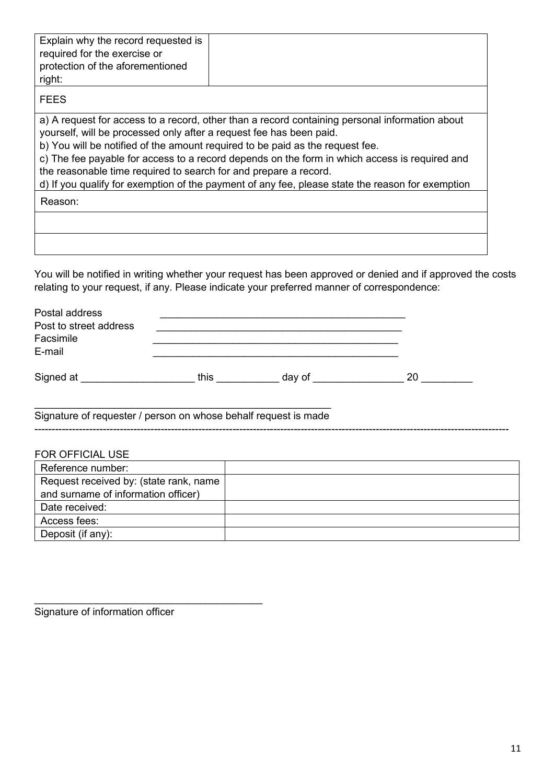| Explain why the record requested is<br>required for the exercise or<br>protection of the aforementioned<br>right:                       |                                                                                                                                                                                                                                                                                                                                                                                      |
|-----------------------------------------------------------------------------------------------------------------------------------------|--------------------------------------------------------------------------------------------------------------------------------------------------------------------------------------------------------------------------------------------------------------------------------------------------------------------------------------------------------------------------------------|
| <b>FEES</b>                                                                                                                             |                                                                                                                                                                                                                                                                                                                                                                                      |
| yourself, will be processed only after a request fee has been paid.<br>the reasonable time required to search for and prepare a record. | a) A request for access to a record, other than a record containing personal information about<br>b) You will be notified of the amount required to be paid as the request fee.<br>c) The fee payable for access to a record depends on the form in which access is required and<br>d) If you qualify for exemption of the payment of any fee, please state the reason for exemption |
| Reason:                                                                                                                                 |                                                                                                                                                                                                                                                                                                                                                                                      |
|                                                                                                                                         |                                                                                                                                                                                                                                                                                                                                                                                      |
|                                                                                                                                         | You will be notified in writing whether your request has been approved or denied and if approved the costs<br>relating to your request, if any. Please indicate your preferred manner of correspondence:                                                                                                                                                                             |

\_\_\_\_\_\_\_\_\_\_\_\_\_\_\_\_\_\_\_\_\_\_\_\_\_\_\_\_\_\_\_\_\_\_\_\_\_\_\_\_\_\_\_\_\_\_\_\_\_\_\_\_ Signature of requester / person on whose behalf request is made

-------------------------------------------------------------------------------------------------------------------------------------------

Signature of information officer

\_\_\_\_\_\_\_\_\_\_\_\_\_\_\_\_\_\_\_\_\_\_\_\_\_\_\_\_\_\_\_\_\_\_\_\_\_\_\_\_